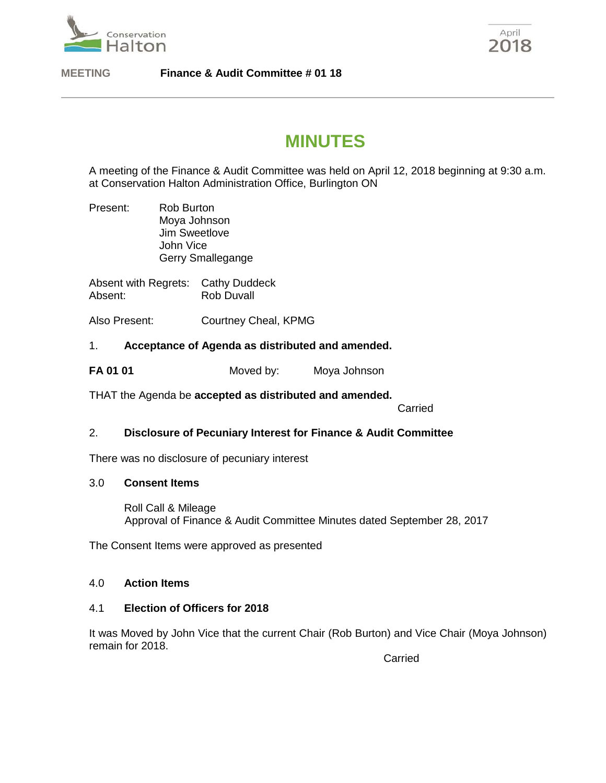

April 2018

**MEETING Finance & Audit Committee # 01 18**

# **MINUTES**

A meeting of the Finance & Audit Committee was held on April 12, 2018 beginning at 9:30 a.m. at Conservation Halton Administration Office, Burlington ON

Present: Rob Burton Moya Johnson Jim Sweetlove John Vice Gerry Smallegange

Absent with Regrets: Cathy Duddeck Absent: Rob Duvall

Also Present: Courtney Cheal, KPMG

# 1. **Acceptance of Agenda as distributed and amended.**

**FA 01 01** Moved by: Moya Johnson

THAT the Agenda be **accepted as distributed and amended.**

Carried

## 2. **Disclosure of Pecuniary Interest for Finance & Audit Committee**

There was no disclosure of pecuniary interest

## 3.0 **Consent Items**

Roll Call & Mileage Approval of Finance & Audit Committee Minutes dated September 28, 2017

The Consent Items were approved as presented

## 4.0 **Action Items**

## 4.1 **Election of Officers for 2018**

It was Moved by John Vice that the current Chair (Rob Burton) and Vice Chair (Moya Johnson) remain for 2018.

Carried